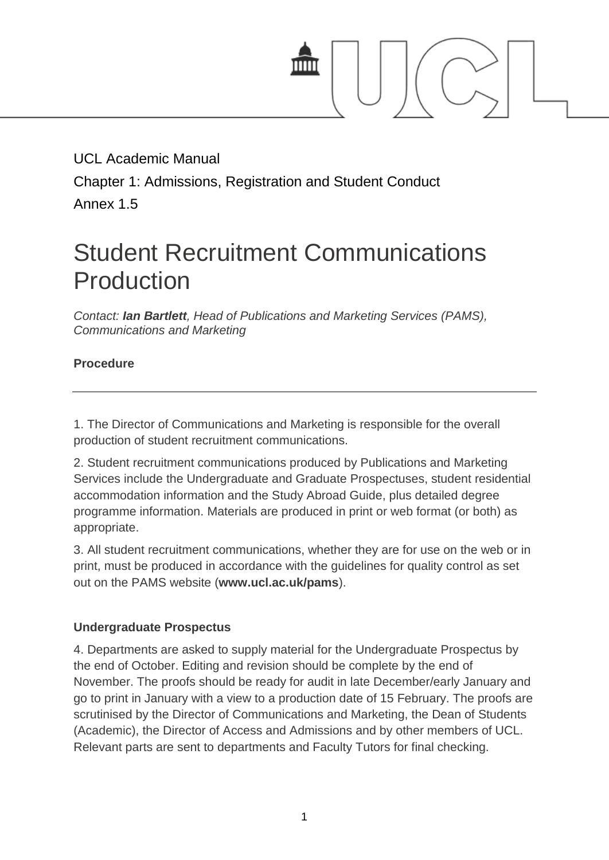

UCL Academic Manual Chapter 1: Admissions, Registration and Student Conduct Annex 1.5

# Student Recruitment Communications Production

*Contact: [Ian Bartlett](mailto:i.bartlett@ucl.ac.uk), Head of Publications and Marketing Services (PAMS), Communications and Marketing*

#### **Procedure**

1. The Director of Communications and Marketing is responsible for the overall production of student recruitment communications.

2. Student recruitment communications produced by Publications and Marketing Services include the Undergraduate and Graduate Prospectuses, student residential accommodation information and the Study Abroad Guide, plus detailed degree programme information. Materials are produced in print or web format (or both) as appropriate.

3. All student recruitment communications, whether they are for use on the web or in print, must be produced in accordance with the guidelines for quality control as set out on the PAMS website (**[www.ucl.ac.uk/pams](http://www.ucl.ac.uk/pams)**).

#### **Undergraduate Prospectus**

4. Departments are asked to supply material for the Undergraduate Prospectus by the end of October. Editing and revision should be complete by the end of November. The proofs should be ready for audit in late December/early January and go to print in January with a view to a production date of 15 February. The proofs are scrutinised by the Director of Communications and Marketing, the Dean of Students (Academic), the Director of Access and Admissions and by other members of UCL. Relevant parts are sent to departments and Faculty Tutors for final checking.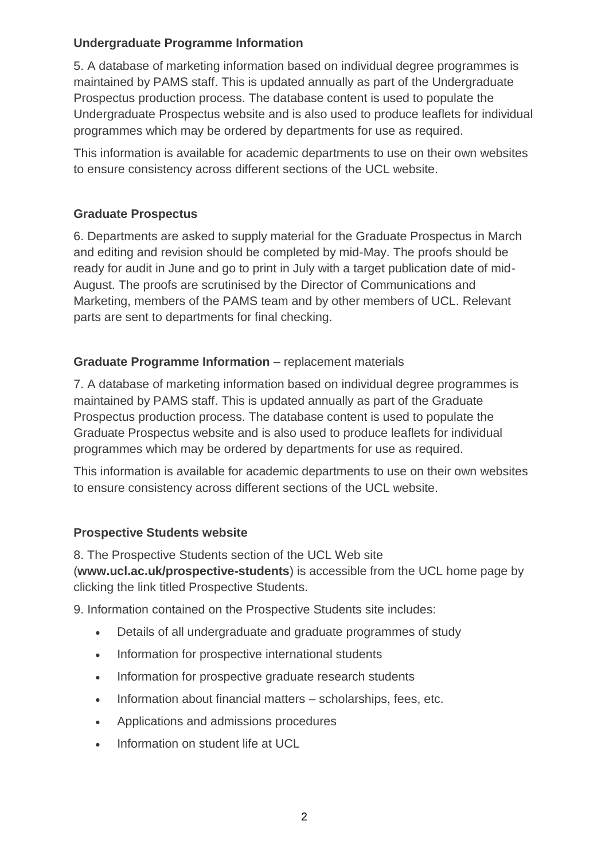#### **Undergraduate Programme Information**

5. A database of marketing information based on individual degree programmes is maintained by PAMS staff. This is updated annually as part of the Undergraduate Prospectus production process. The database content is used to populate the Undergraduate Prospectus website and is also used to produce leaflets for individual programmes which may be ordered by departments for use as required.

This information is available for academic departments to use on their own websites to ensure consistency across different sections of the UCL website.

### **Graduate Prospectus**

6. Departments are asked to supply material for the Graduate Prospectus in March and editing and revision should be completed by mid-May. The proofs should be ready for audit in June and go to print in July with a target publication date of mid-August. The proofs are scrutinised by the Director of Communications and Marketing, members of the PAMS team and by other members of UCL. Relevant parts are sent to departments for final checking.

# **Graduate Programme Information** – replacement materials

7. A database of marketing information based on individual degree programmes is maintained by PAMS staff. This is updated annually as part of the Graduate Prospectus production process. The database content is used to populate the Graduate Prospectus website and is also used to produce leaflets for individual programmes which may be ordered by departments for use as required.

This information is available for academic departments to use on their own websites to ensure consistency across different sections of the UCL website.

### **Prospective Students website**

8. The Prospective Students section of the UCL Web site (**[www.ucl.ac.uk/prospective-students](http://www.ucl.ac.uk/prospective-students)**) is accessible from the UCL home page by clicking the link titled Prospective Students.

9. Information contained on the Prospective Students site includes:

- Details of all undergraduate and graduate programmes of study
- Information for prospective international students
- Information for prospective graduate research students
- Information about financial matters scholarships, fees, etc.
- Applications and admissions procedures
- Information on student life at UCL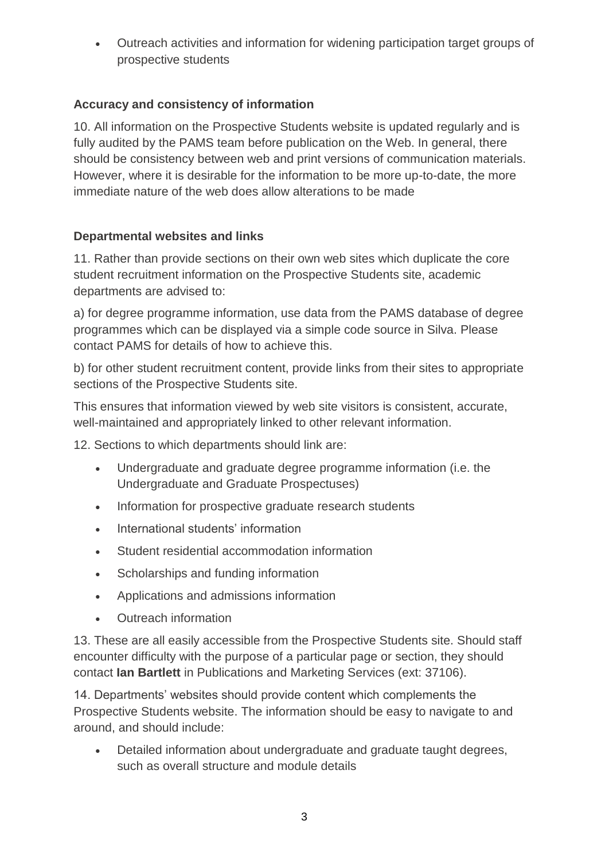Outreach activities and information for widening participation target groups of prospective students

# **Accuracy and consistency of information**

10. All information on the Prospective Students website is updated regularly and is fully audited by the PAMS team before publication on the Web. In general, there should be consistency between web and print versions of communication materials. However, where it is desirable for the information to be more up-to-date, the more immediate nature of the web does allow alterations to be made

# **Departmental websites and links**

11. Rather than provide sections on their own web sites which duplicate the core student recruitment information on the Prospective Students site, academic departments are advised to:

a) for degree programme information, use data from the PAMS database of degree programmes which can be displayed via a simple code source in Silva. Please contact PAMS for details of how to achieve this.

b) for other student recruitment content, provide links from their sites to appropriate sections of the Prospective Students site.

This ensures that information viewed by web site visitors is consistent, accurate, well-maintained and appropriately linked to other relevant information.

12. Sections to which departments should link are:

- Undergraduate and graduate degree programme information (i.e. the Undergraduate and Graduate Prospectuses)
- Information for prospective graduate research students
- International students' information
- Student residential accommodation information
- Scholarships and funding information
- Applications and admissions information
- Outreach information

13. These are all easily accessible from the Prospective Students site. Should staff encounter difficulty with the purpose of a particular page or section, they should contact **[Ian Bartlett](mailto:i.bartlett@ucl.ac.uk)** in Publications and Marketing Services (ext: 37106).

14. Departments' websites should provide content which complements the Prospective Students website. The information should be easy to navigate to and around, and should include:

 Detailed information about undergraduate and graduate taught degrees, such as overall structure and module details